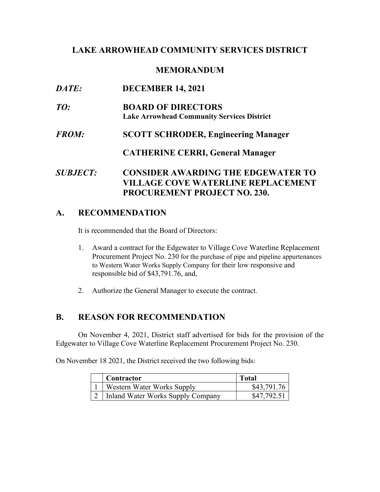### **LAKE ARROWHEAD COMMUNITY SERVICES DISTRICT**

#### **MEMORANDUM**

| <i>DATE:</i>           | <b>DECEMBER 14, 2021</b>                                                               |
|------------------------|----------------------------------------------------------------------------------------|
| TO:                    | <b>BOARD OF DIRECTORS</b><br><b>Lake Arrowhead Community Services District</b>         |
| <i>FROM:</i>           | <b>SCOTT SCHRODER, Engineering Manager</b>                                             |
|                        | <b>CATHERINE CERRI, General Manager</b>                                                |
| <i><b>SUBJECT:</b></i> | <b>CONSIDER AWARDING THE EDGEWATER TO</b><br><b>VILLAGE COVE WATERLINE REPLACEMENT</b> |

# **A. RECOMMENDATION**

It is recommended that the Board of Directors:

 Procurement Project No. 230 for the purchase of pipe and pipeline appurtenances 1. Award a contract for the Edgewater to Village Cove Waterline Replacement to Western Water Works Supply Company for their low responsive and responsible bid of [\\$43,791.76,](https://43,791.76) and,

**PROCUREMENT PROJECT NO. 230.** 

2. Authorize the General Manager to execute the contract.

### **B. REASON FOR RECOMMENDATION**

On November 4, 2021, District staff advertised for bids for the provision of the Edgewater to Village Cove Waterline Replacement Procurement Project No. 230.

On November 18 2021, the District received the two following bids:

| Contractor                        | Total       |
|-----------------------------------|-------------|
| Western Water Works Supply        | \$43,791.76 |
| Inland Water Works Supply Company | \$47.792.51 |